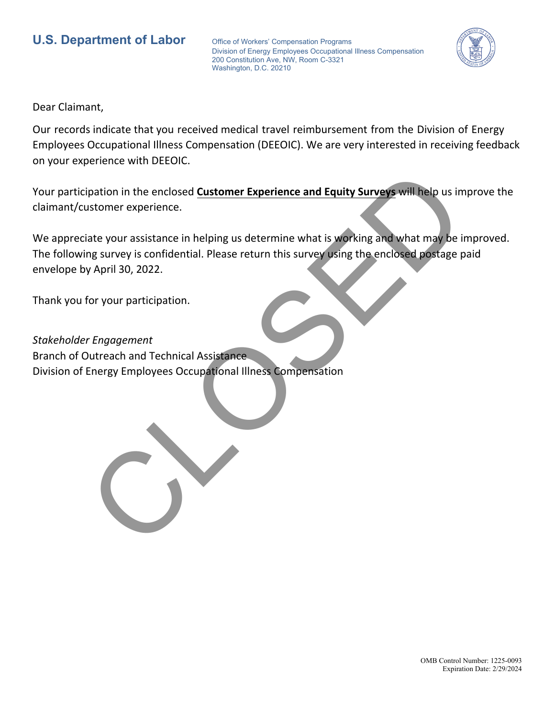## **U.S. Department of Labor** Office of Workers' Compensation Programs

Division of Energy Employees Occupational Illness Compensation 200 Constitution Ave, NW, Room C-3321 Washington, D.C. 20210



Dear Claimant,

Our records indicate that you received medical travel reimbursement from the Division of Energy Employees Occupational Illness Compensation (DEEOIC). We are very interested in receiving feedback on your experience with DEEOIC.

Your participation in the enclosed **Customer Experience and Equity Surveys** will help us improve the claimant/customer experience.

We appreciate your assistance in helping us determine what is working and what may be improved. The following survey is confidential. Please return this survey using the enclosed postage paid envelope by April 30, 2022. ipation in the enclosed Customer Experience and Equity Surveys will help us in<br>ustomer experience.<br>Inte your assistance in helping us determine what is working and what may be in<br>my survey is confidential. Please return th

Thank you for your participation.

*Stakeholder Engagement* Branch of Outreach and Technical Assistance Division of Energy Employees Occupational Illness Compensation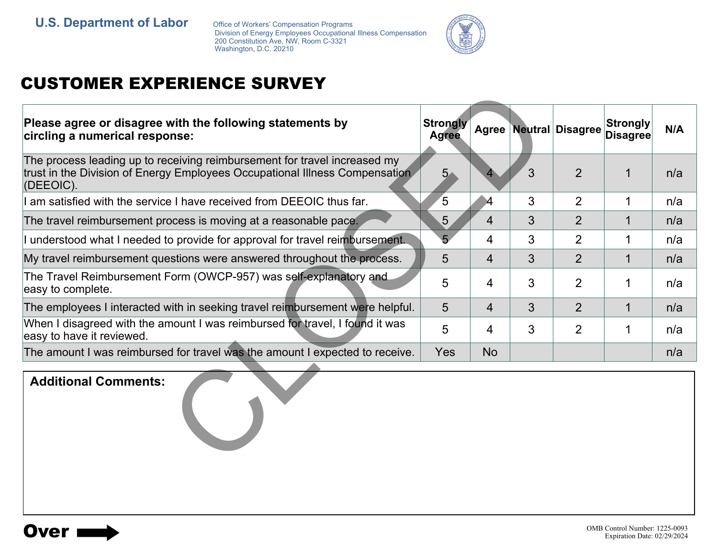Division of Energy Employees Occupational Illness Compensation 200 Constitution Ave, NW, Room C-3321 Washington, D.C. 20210



## CUSTOMER EXPERIENCE SURVEY

| Please agree or disagree with the following statements by<br>circling a numerical response:                                                                           | <b>Strongly</b><br><b>Agree</b> |                      |   | <b>Agree Neutral Disagree</b> | <b>Strongly</b><br><b>Disagree</b> | N/A |
|-----------------------------------------------------------------------------------------------------------------------------------------------------------------------|---------------------------------|----------------------|---|-------------------------------|------------------------------------|-----|
| The process leading up to receiving reimbursement for travel increased my<br>trust in the Division of Energy Employees Occupational Illness Compensation<br>(DEEOIC). | 5 <sub>1</sub>                  |                      | 3 | $\overline{2}$                | $\overline{1}$                     | n/a |
| I am satisfied with the service I have received from DEEOIC thus far.                                                                                                 | 5                               | $\blacktriangleleft$ | 3 | 2                             | 1                                  | n/a |
| The travel reimbursement process is moving at a reasonable pace.                                                                                                      | 5                               | 4                    | 3 | $\overline{2}$                | 1                                  | n/a |
| I understood what I needed to provide for approval for travel reimbursement.                                                                                          | 5 <sub>2</sub>                  | 4                    | 3 | $\overline{2}$                | 1                                  | n/a |
| My travel reimbursement questions were answered throughout the process.                                                                                               | 5                               | 4                    | 3 | $\overline{2}$                | $\mathbf 1$                        | n/a |
| The Travel Reimbursement Form (OWCP-957) was self-explanatory and<br>easy to complete.                                                                                | 5                               | 4                    | 3 | $\overline{2}$                | 1                                  | n/a |
| The employees I interacted with in seeking travel reimbursement were helpful.                                                                                         | 5                               | $\overline{4}$       | 3 | $\overline{2}$                | 1                                  | n/a |
| When I disagreed with the amount I was reimbursed for travel, I found it was<br>easy to have it reviewed.                                                             | 5                               | 4                    | 3 | $\overline{2}$                | 1                                  | n/a |
| The amount I was reimbursed for travel was the amount I expected to receive.                                                                                          | Yes                             | <b>No</b>            |   |                               |                                    | n/a |
| <b>Additional Comments:</b>                                                                                                                                           |                                 |                      |   |                               |                                    |     |

## **Additional Comments:**